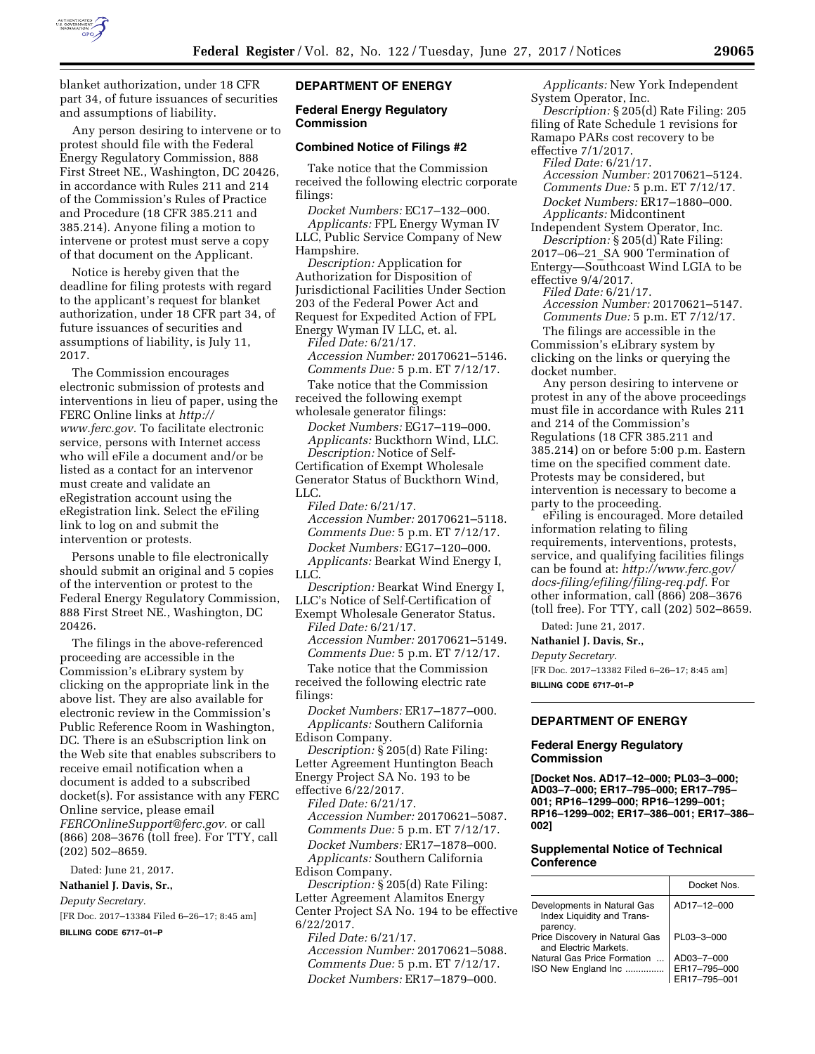

blanket authorization, under 18 CFR part 34, of future issuances of securities and assumptions of liability.

Any person desiring to intervene or to protest should file with the Federal Energy Regulatory Commission, 888 First Street NE., Washington, DC 20426, in accordance with Rules 211 and 214 of the Commission's Rules of Practice and Procedure (18 CFR 385.211 and 385.214). Anyone filing a motion to intervene or protest must serve a copy of that document on the Applicant.

Notice is hereby given that the deadline for filing protests with regard to the applicant's request for blanket authorization, under 18 CFR part 34, of future issuances of securities and assumptions of liability, is July 11, 2017.

The Commission encourages electronic submission of protests and interventions in lieu of paper, using the FERC Online links at *[http://](http://www.ferc.gov) [www.ferc.gov.](http://www.ferc.gov)* To facilitate electronic service, persons with Internet access who will eFile a document and/or be listed as a contact for an intervenor must create and validate an eRegistration account using the eRegistration link. Select the eFiling link to log on and submit the intervention or protests.

Persons unable to file electronically should submit an original and 5 copies of the intervention or protest to the Federal Energy Regulatory Commission, 888 First Street NE., Washington, DC 20426.

The filings in the above-referenced proceeding are accessible in the Commission's eLibrary system by clicking on the appropriate link in the above list. They are also available for electronic review in the Commission's Public Reference Room in Washington, DC. There is an eSubscription link on the Web site that enables subscribers to receive email notification when a document is added to a subscribed docket(s). For assistance with any FERC Online service, please email *[FERCOnlineSupport@ferc.gov.](mailto:FERCOnlineSupport@ferc.gov)* or call (866) 208–3676 (toll free). For TTY, call (202) 502–8659.

Dated: June 21, 2017.

**Nathaniel J. Davis, Sr.,** 

*Deputy Secretary.*  [FR Doc. 2017–13384 Filed 6–26–17; 8:45 am]

**BILLING CODE 6717–01–P** 

### **DEPARTMENT OF ENERGY**

### **Federal Energy Regulatory Commission**

### **Combined Notice of Filings #2**

Take notice that the Commission received the following electric corporate filings:

*Docket Numbers:* EC17–132–000.

*Applicants:* FPL Energy Wyman IV LLC, Public Service Company of New Hampshire.

*Description:* Application for Authorization for Disposition of Jurisdictional Facilities Under Section 203 of the Federal Power Act and Request for Expedited Action of FPL Energy Wyman IV LLC, et. al.

*Filed Date:* 6/21/17. *Accession Number:* 20170621–5146. *Comments Due:* 5 p.m. ET 7/12/17.

Take notice that the Commission received the following exempt wholesale generator filings:

*Docket Numbers:* EG17–119–000. *Applicants:* Buckthorn Wind, LLC. *Description:* Notice of Self-Certification of Exempt Wholesale Generator Status of Buckthorn Wind, LLC.

*Filed Date:* 6/21/17. *Accession Number:* 20170621–5118. *Comments Due:* 5 p.m. ET 7/12/17. *Docket Numbers:* EG17–120–000. *Applicants:* Bearkat Wind Energy I,

LLC.

*Description:* Bearkat Wind Energy I, LLC's Notice of Self-Certification of Exempt Wholesale Generator Status. *Filed Date:* 6/21/17.

*Accession Number:* 20170621–5149. *Comments Due:* 5 p.m. ET 7/12/17.

Take notice that the Commission received the following electric rate filings:

*Docket Numbers:* ER17–1877–000. *Applicants:* Southern California Edison Company.

*Description:* § 205(d) Rate Filing: Letter Agreement Huntington Beach Energy Project SA No. 193 to be effective 6/22/2017.

*Filed Date:* 6/21/17.

*Accession Number:* 20170621–5087. *Comments Due:* 5 p.m. ET 7/12/17. *Docket Numbers:* ER17–1878–000. *Applicants:* Southern California

Edison Company.

*Description:* § 205(d) Rate Filing: Letter Agreement Alamitos Energy Center Project SA No. 194 to be effective 6/22/2017.

*Filed Date:* 6/21/17. *Accession Number:* 20170621–5088. *Comments Due:* 5 p.m. ET 7/12/17. *Docket Numbers:* ER17–1879–000.

*Applicants:* New York Independent System Operator, Inc.

*Description:* § 205(d) Rate Filing: 205 filing of Rate Schedule 1 revisions for Ramapo PARs cost recovery to be effective 7/1/2017.

*Filed Date:* 6/21/17. *Accession Number:* 20170621–5124. *Comments Due:* 5 p.m. ET 7/12/17.

*Docket Numbers:* ER17–1880–000. *Applicants:* Midcontinent Independent System Operator, Inc.

*Description:* § 205(d) Rate Filing: 2017–06–21\_SA 900 Termination of Entergy—Southcoast Wind LGIA to be effective 9/4/2017.

*Filed Date:* 6/21/17.

*Accession Number:* 20170621–5147. *Comments Due:* 5 p.m. ET 7/12/17.

The filings are accessible in the Commission's eLibrary system by clicking on the links or querying the docket number.

Any person desiring to intervene or protest in any of the above proceedings must file in accordance with Rules 211 and 214 of the Commission's Regulations (18 CFR 385.211 and 385.214) on or before 5:00 p.m. Eastern time on the specified comment date. Protests may be considered, but intervention is necessary to become a party to the proceeding.

eFiling is encouraged. More detailed information relating to filing requirements, interventions, protests, service, and qualifying facilities filings can be found at: *[http://www.ferc.gov/](http://www.ferc.gov/docs-filing/efiling/filing-req.pdf)  [docs-filing/efiling/filing-req.pdf.](http://www.ferc.gov/docs-filing/efiling/filing-req.pdf)* For other information, call (866) 208–3676 (toll free). For TTY, call (202) 502–8659.

Dated: June 21, 2017.

**Nathaniel J. Davis, Sr.,** 

*Deputy Secretary.* 

[FR Doc. 2017–13382 Filed 6–26–17; 8:45 am] **BILLING CODE 6717–01–P** 

# **DEPARTMENT OF ENERGY**

## **Federal Energy Regulatory Commission**

**[Docket Nos. AD17–12–000; PL03–3–000; AD03–7–000; ER17–795–000; ER17–795– 001; RP16–1299–000; RP16–1299–001; RP16–1299–002; ER17–386–001; ER17–386– 002]** 

## **Supplemental Notice of Technical Conference**

|                                                           | Docket Nos   |
|-----------------------------------------------------------|--------------|
| Developments in Natural Gas<br>Index Liquidity and Trans- | AD17-12-000  |
| parency.<br>Price Discovery in Natural Gas                | PL03-3-000   |
| and Electric Markets.                                     |              |
| Natural Gas Price Formation                               | AD03-7-000   |
| ISO New England Inc                                       | ER17-795-000 |
|                                                           | 17-795-001   |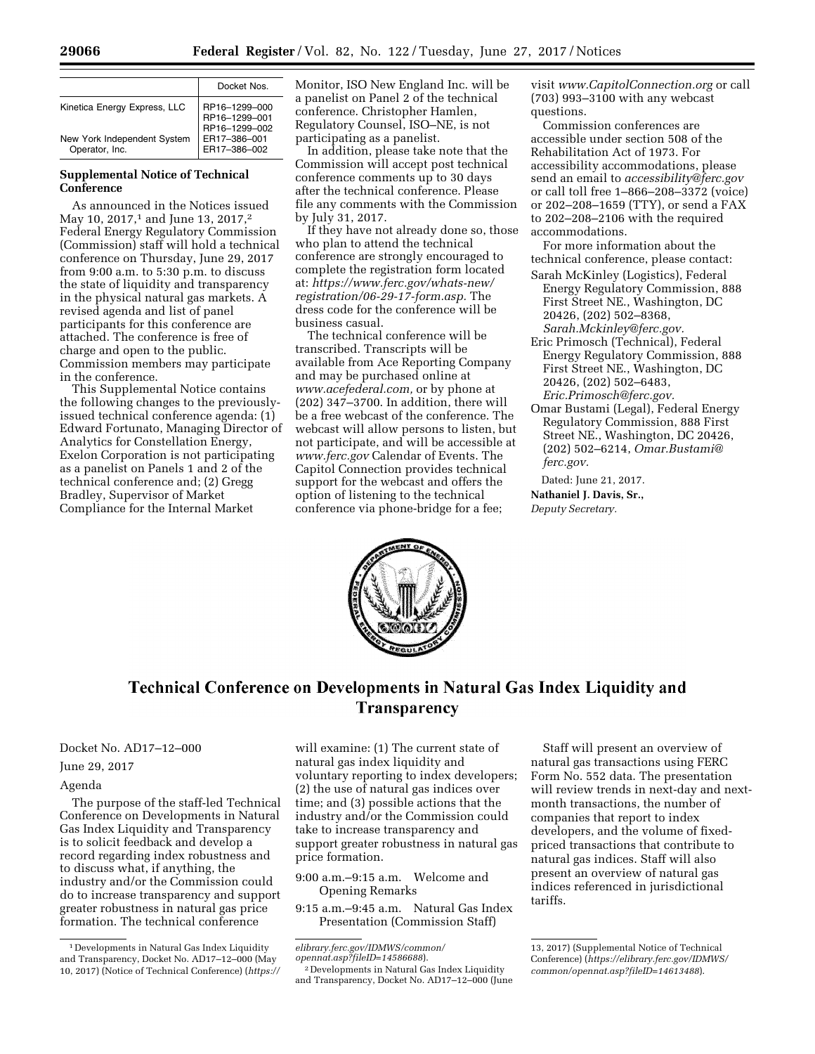|                                               | Docket Nos                                      |
|-----------------------------------------------|-------------------------------------------------|
| Kinetica Energy Express, LLC                  | RP16-1299-000<br>RP16-1299-001<br>RP16-1299-002 |
| New York Independent System<br>Operator, Inc. | ER17-386-001<br>ER17-386-002                    |

## **Supplemental Notice of Technical Conference**

As announced in the Notices issued May 10, 2017,<sup>1</sup> and June 13, 2017,<sup>2</sup> Federal Energy Regulatory Commission (Commission) staff will hold a technical conference on Thursday, June 29, 2017 from 9:00 a.m. to 5:30 p.m. to discuss the state of liquidity and transparency in the physical natural gas markets. A revised agenda and list of panel participants for this conference are attached. The conference is free of charge and open to the public. Commission members may participate in the conference.

This Supplemental Notice contains the following changes to the previouslyissued technical conference agenda: (1) Edward Fortunato, Managing Director of Analytics for Constellation Energy, Exelon Corporation is not participating as a panelist on Panels 1 and 2 of the technical conference and; (2) Gregg Bradley, Supervisor of Market Compliance for the Internal Market

Monitor, ISO New England Inc. will be a panelist on Panel 2 of the technical conference. Christopher Hamlen, Regulatory Counsel, ISO–NE, is not participating as a panelist.

In addition, please take note that the Commission will accept post technical conference comments up to 30 days after the technical conference. Please file any comments with the Commission by July 31, 2017.

If they have not already done so, those who plan to attend the technical conference are strongly encouraged to complete the registration form located at: *[https://www.ferc.gov/whats-new/](https://www.ferc.gov/whats-new/registration/06-29-17-form.asp) [registration/06-29-17-form.asp.](https://www.ferc.gov/whats-new/registration/06-29-17-form.asp)* The dress code for the conference will be business casual.

The technical conference will be transcribed. Transcripts will be available from Ace Reporting Company and may be purchased online at *[www.acefederal.com,](http://www.acefederal.com)* or by phone at (202) 347–3700. In addition, there will be a free webcast of the conference. The webcast will allow persons to listen, but not participate, and will be accessible at *[www.ferc.gov](http://www.ferc.gov)* Calendar of Events. The Capitol Connection provides technical support for the webcast and offers the option of listening to the technical conference via phone-bridge for a fee;

visit *[www.CapitolConnection.org](http://www.CapitolConnection.org)* or call (703) 993–3100 with any webcast questions.

Commission conferences are accessible under section 508 of the Rehabilitation Act of 1973. For accessibility accommodations, please send an email to *[accessibility@ferc.gov](mailto:accessibility@ferc.gov)*  or call toll free 1–866–208–3372 (voice) or 202–208–1659 (TTY), or send a FAX to 202–208–2106 with the required accommodations.

For more information about the technical conference, please contact:

- Sarah McKinley (Logistics), Federal Energy Regulatory Commission, 888 First Street NE., Washington, DC 20426, (202) 502–8368, *[Sarah.Mckinley@ferc.gov.](mailto:Sarah.Mckinley@ferc.gov)*
- Eric Primosch (Technical), Federal Energy Regulatory Commission, 888 First Street NE., Washington, DC 20426, (202) 502–6483, *[Eric.Primosch@ferc.gov.](mailto:Eric.Primosch@ferc.gov)*
- Omar Bustami (Legal), Federal Energy Regulatory Commission, 888 First Street NE., Washington, DC 20426, (202) 502–6214, *[Omar.Bustami@](mailto:Omar.Bustami@ferc.gov) [ferc.gov.](mailto:Omar.Bustami@ferc.gov)*

Dated: June 21, 2017. **Nathaniel J. Davis, Sr.,**  *Deputy Secretary.* 



# Technical Conference on Developments in Natural Gas Index Liquidity and **Transparency**

Docket No. AD17–12–000

# June 29, 2017

## Agenda

The purpose of the staff-led Technical Conference on Developments in Natural Gas Index Liquidity and Transparency is to solicit feedback and develop a record regarding index robustness and to discuss what, if anything, the industry and/or the Commission could do to increase transparency and support greater robustness in natural gas price formation. The technical conference

will examine: (1) The current state of natural gas index liquidity and voluntary reporting to index developers; (2) the use of natural gas indices over time; and (3) possible actions that the industry and/or the Commission could take to increase transparency and support greater robustness in natural gas price formation.

9:00 a.m.–9:15 a.m. Welcome and Opening Remarks

9:15 a.m.–9:45 a.m. Natural Gas Index Presentation (Commission Staff)

*[elibrary.ferc.gov/IDMWS/common/](https://elibrary.ferc.gov/IDMWS/common/opennat.asp?fileID=14586688)*

<sup>2</sup> Developments in Natural Gas Index Liquidity and Transparency, Docket No. AD17–12–000 (June

Staff will present an overview of natural gas transactions using FERC Form No. 552 data. The presentation will review trends in next-day and nextmonth transactions, the number of companies that report to index developers, and the volume of fixedpriced transactions that contribute to natural gas indices. Staff will also present an overview of natural gas indices referenced in jurisdictional tariffs.

<sup>1</sup> Developments in Natural Gas Index Liquidity and Transparency, Docket No. AD17–12–000 (May 10, 2017) (Notice of Technical Conference) (*[https://](https://elibrary.ferc.gov/IDMWS/common/opennat.asp?fileID=14586688)* 

<sup>13, 2017) (</sup>Supplemental Notice of Technical Conference) (*[https://elibrary.ferc.gov/IDMWS/](https://elibrary.ferc.gov/IDMWS/common/opennat.asp?fileID=14613488) [common/opennat.asp?fileID=14613488](https://elibrary.ferc.gov/IDMWS/common/opennat.asp?fileID=14613488)*).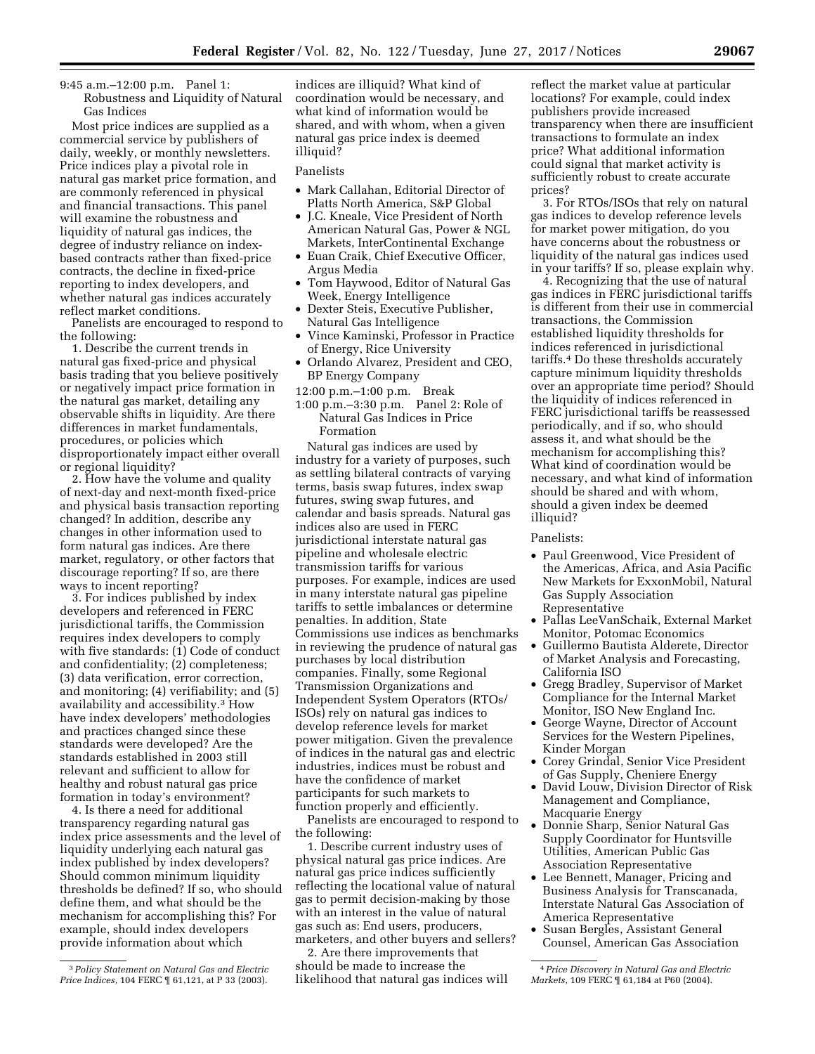9:45 a.m.–12:00 p.m. Panel 1: Robustness and Liquidity of Natural Gas Indices

Most price indices are supplied as a commercial service by publishers of daily, weekly, or monthly newsletters. Price indices play a pivotal role in natural gas market price formation, and are commonly referenced in physical and financial transactions. This panel will examine the robustness and liquidity of natural gas indices, the degree of industry reliance on indexbased contracts rather than fixed-price contracts, the decline in fixed-price reporting to index developers, and whether natural gas indices accurately reflect market conditions.

Panelists are encouraged to respond to the following:

1. Describe the current trends in natural gas fixed-price and physical basis trading that you believe positively or negatively impact price formation in the natural gas market, detailing any observable shifts in liquidity. Are there differences in market fundamentals, procedures, or policies which disproportionately impact either overall or regional liquidity?

2. How have the volume and quality of next-day and next-month fixed-price and physical basis transaction reporting changed? In addition, describe any changes in other information used to form natural gas indices. Are there market, regulatory, or other factors that discourage reporting? If so, are there ways to incent reporting?

3. For indices published by index developers and referenced in FERC jurisdictional tariffs, the Commission requires index developers to comply with five standards: (1) Code of conduct and confidentiality; (2) completeness; (3) data verification, error correction, and monitoring; (4) verifiability; and (5) availability and accessibility.3 How have index developers' methodologies and practices changed since these standards were developed? Are the standards established in 2003 still relevant and sufficient to allow for healthy and robust natural gas price formation in today's environment?

4. Is there a need for additional transparency regarding natural gas index price assessments and the level of liquidity underlying each natural gas index published by index developers? Should common minimum liquidity thresholds be defined? If so, who should define them, and what should be the mechanism for accomplishing this? For example, should index developers provide information about which

indices are illiquid? What kind of coordination would be necessary, and what kind of information would be shared, and with whom, when a given natural gas price index is deemed illiquid?

Panelists

- Mark Callahan, Editorial Director of Platts North America, S&P Global
- J.C. Kneale, Vice President of North American Natural Gas, Power & NGL Markets, InterContinental Exchange
- Euan Craik, Chief Executive Officer, Argus Media
- Tom Haywood, Editor of Natural Gas Week, Energy Intelligence
- Dexter Steis, Executive Publisher, Natural Gas Intelligence
- Vince Kaminski, Professor in Practice of Energy, Rice University
- Orlando Alvarez, President and CEO, BP Energy Company
- 12:00 p.m.–1:00 p.m. Break
- 1:00 p.m.–3:30 p.m. Panel 2: Role of Natural Gas Indices in Price Formation

Natural gas indices are used by industry for a variety of purposes, such as settling bilateral contracts of varying terms, basis swap futures, index swap futures, swing swap futures, and calendar and basis spreads. Natural gas indices also are used in FERC jurisdictional interstate natural gas pipeline and wholesale electric transmission tariffs for various purposes. For example, indices are used in many interstate natural gas pipeline tariffs to settle imbalances or determine penalties. In addition, State Commissions use indices as benchmarks in reviewing the prudence of natural gas purchases by local distribution companies. Finally, some Regional Transmission Organizations and Independent System Operators (RTOs/ ISOs) rely on natural gas indices to develop reference levels for market power mitigation. Given the prevalence of indices in the natural gas and electric industries, indices must be robust and have the confidence of market participants for such markets to function properly and efficiently.

Panelists are encouraged to respond to the following:

1. Describe current industry uses of physical natural gas price indices. Are natural gas price indices sufficiently reflecting the locational value of natural gas to permit decision-making by those with an interest in the value of natural gas such as: End users, producers, marketers, and other buyers and sellers?

2. Are there improvements that should be made to increase the likelihood that natural gas indices will

reflect the market value at particular locations? For example, could index publishers provide increased transparency when there are insufficient transactions to formulate an index price? What additional information could signal that market activity is sufficiently robust to create accurate prices?

3. For RTOs/ISOs that rely on natural gas indices to develop reference levels for market power mitigation, do you have concerns about the robustness or liquidity of the natural gas indices used in your tariffs? If so, please explain why.

4. Recognizing that the use of natural gas indices in FERC jurisdictional tariffs is different from their use in commercial transactions, the Commission established liquidity thresholds for indices referenced in jurisdictional tariffs.4 Do these thresholds accurately capture minimum liquidity thresholds over an appropriate time period? Should the liquidity of indices referenced in FERC jurisdictional tariffs be reassessed periodically, and if so, who should assess it, and what should be the mechanism for accomplishing this? What kind of coordination would be necessary, and what kind of information should be shared and with whom, should a given index be deemed illiquid?

## Panelists:

- Paul Greenwood, Vice President of the Americas, Africa, and Asia Pacific New Markets for ExxonMobil, Natural Gas Supply Association Representative
- Pallas LeeVanSchaik, External Market Monitor, Potomac Economics
- Guillermo Bautista Alderete, Director of Market Analysis and Forecasting, California ISO
- Gregg Bradley, Supervisor of Market Compliance for the Internal Market Monitor, ISO New England Inc.
- George Wayne, Director of Account Services for the Western Pipelines, Kinder Morgan
- Corey Grindal, Senior Vice President of Gas Supply, Cheniere Energy
- David Louw, Division Director of Risk Management and Compliance, Macquarie Energy
- Donnie Sharp, Senior Natural Gas Supply Coordinator for Huntsville Utilities, American Public Gas Association Representative
- Lee Bennett, Manager, Pricing and Business Analysis for Transcanada, Interstate Natural Gas Association of America Representative
- Susan Bergles, Assistant General Counsel, American Gas Association

<sup>3</sup>*Policy Statement on Natural Gas and Electric Price Indices,* 104 FERC ¶ 61,121, at P 33 (2003).

<sup>4</sup>*Price Discovery in Natural Gas and Electric Markets,* 109 FERC ¶ 61,184 at P60 (2004).